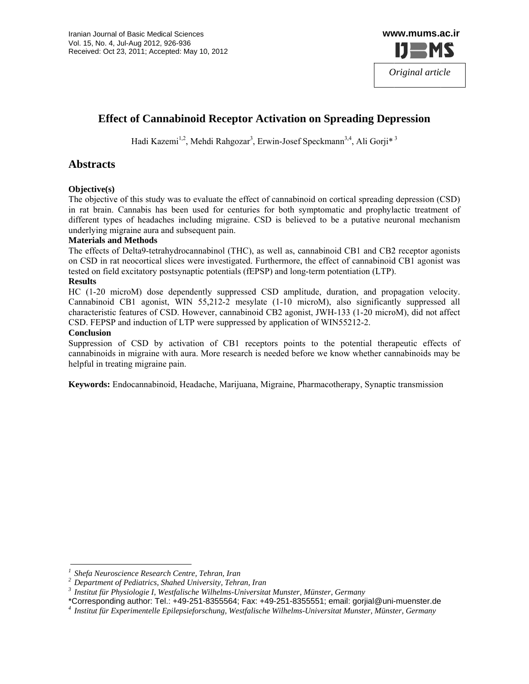

# **Effect of Cannabinoid Receptor Activation on Spreading Depression**

Hadi Kazemi<sup>1,2</sup>, Mehdi Rahgozar<sup>3</sup>, Erwin-Josef Speckmann<sup>3,4</sup>, Ali Gorji<sup>\*3</sup>

# **Abstracts**

### Objective(s)

The objective of this study was to evaluate the effect of cannabinoid on cortical spreading depression (CSD) in rat brain. Cannabis has been used for centuries for both symptomatic and prophylactic treatment of different types of headaches including migraine. CSD is believed to be a putative neuronal mechanism underlying migraine aura and subsequent pain.

#### **Materials and Methods**

The effects of Delta9-tetrahydrocannabinol (THC), as well as, cannabinoid CB1 and CB2 receptor agonists on CSD in rat neocortical slices were investigated. Furthermore, the effect of cannabinoid CB1 agonist was tested on field excitatory postsynaptic potentials (fEPSP) and long-term potentiation (LTP).

#### **Results**

HC (1-20 microM) dose dependently suppressed CSD amplitude, duration, and propagation velocity. Cannabinoid CB1 agonist, WIN 55,212-2 mesylate (1-10 microM), also significantly suppressed all characteristic features of CSD. However, cannabinoid CB2 agonist, JWH-133 (1-20 microM), did not affect CSD. FEPSP and induction of LTP were suppressed by application of WIN55212-2.

#### **Conclusion**

Suppression of CSD by activation of CB1 receptors points to the potential therapeutic effects of cannabinoids in migraine with aura. More research is needed before we know whether cannabinoids may be helpful in treating migraine pain.

Keywords: Endocannabinoid, Headache, Marijuana, Migraine, Pharmacotherapy, Synaptic transmission

Shefa Neuroscience Research Centre, Tehran, Iran

<sup>&</sup>lt;sup>2</sup> Department of Pediatrics, Shahed University, Tehran, Iran

 $3$  Institut für Physiologie I, Westfalische Wilhelms-Universitat Munster, Münster, Germany

<sup>\*</sup>Corresponding author: Tel.: +49-251-8355564; Fax: +49-251-8355551; email: gorjial@uni-muenster.de Institut für Experimentelle Epilepsieforschung, Westfalische Wilhelms-Universitat Munster, Münster, Germany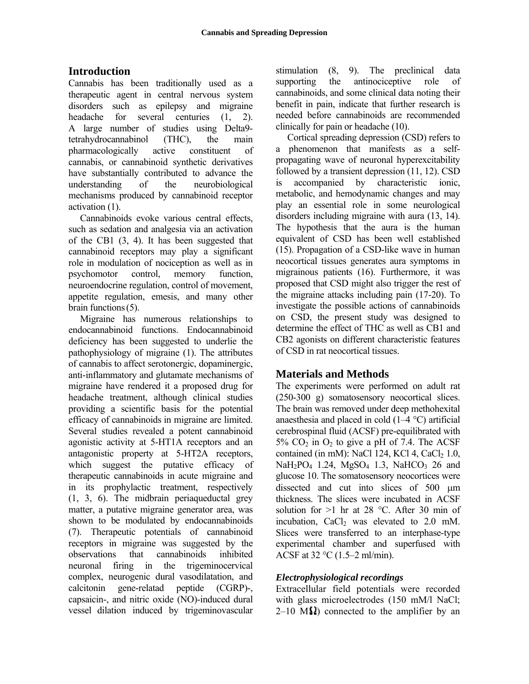# **I Introduct ion**

C Cannabis h has been tr aditionally used as a therapeutic agent in central nervous system disorders such as epilepsy and migraine h headache A large number of studies using Delta9tetrahydrocannabinol p pharmacolog gically act cannabis, or cannabinoid synthetic derivatives have substantially contributed to advance the u understandin mechanisms produced by cannabinoid receptor a activation (1 ). for several centuries  $(1, 2)$ . ng of (THC), t tive constituent of the neurobiological main

o of the CB1 (3, 4). It h has been sug ggested that c cannabinoid receptors m may play a significant role in modulation of nociception as well as in p psychomotor neuroendocrine regulation, control of movement, appetite regulation, emesis, and many other  $brain$  functions  $(5)$ . Cannabinoids evoke various central effects, such as sedation and analgesia via an activation control, memory function,

endocannabinoid functions. Endocannabinoid deficiency has been suggested to underlie the pathophysiology of migraine (1). The attributes of cannabis to affect serotonergic, dopaminergic, anti-inflammatory and glutamate mechanisms of migraine have rendered it a proposed drug for headache treatment, although clinical studies p providing a scientific b basis for th he potential efficacy of cannabinoids in migraine are limited. agonistic activity at 5-HT1A receptors and an antagonistic property at 5-HT2A receptors, w which sug gest the putative e fficacy of therapeutic cannabinoids in acute migraine and in its prophylactic treatment, respectively matter, a putative migraine generator area, was receptors in migraine was suggested by the o observations neuronal firing in the trigeminocervical complex, neurogenic dural vasodilatation, and c calcitonin capsaicin-, and nitric oxide (NO)-induced dural vessel dilation induced by trigeminovascular Migraine has numerous relationships to Several studies revealed a potent cannabinoid (1, 3, 6). T The midbrai in periaqued ductal grey shown to be modulated by endocannabinoids (7). Therapeutic potentials of cannabinoid s that cannabinoids gene-relatad peptide inhibited (CGRP)-,

stimulation (8, supporting the cannabinoids, and some clinical data noting their benefit in pain, indicate that further research is needed before cannabinoids are recommended clinically for pain or headache (10). 9). The preclinical data antinociceptive role of

Cortical spreading depression (CSD) refers to a phenomenon that manifests as a selfpropag gating wave of neuronal hyperexcitab bility followed by a transient depression (11, 12). CSD is ac ccompanied metabolic, and hemodynamic changes and may play an essential role in some neurological disorders including migraine with aura (13, 14). The hypothesis that the aura is the human equival lent of CSD D has been well establi ished (15). Propagation of a CSD-like wave in human neocortical tissues generates aura symptoms in migrainous patients (16). Furthermore, it was proposed that CSD might also trigger the rest of the migraine attacks including pain (17-20). To investigate the possible actions of cannabinoids on CSD, the present study was designed to determine the effect of THC as well as CB1 and CB2 agonists on different characteristic features of CSD in rat neocortical tissues. by characteristic ionic,

# **Mate rials and M Methods**

The experiments were performed on adult rat (250-3 00 g) soma atosensory n neocortical s lices. The brain was removed under deep methohexital anaesthesia and placed in cold  $(1-4 °C)$  artificial cerebrospinal fluid (ACSF) pre-equilibrated with 5%  $CO<sub>2</sub>$  in  $O<sub>2</sub>$  to give a pH of 7.4. The ACSF contained (in mM): NaCl 124, KCl 4, CaCl $_2$  1.0, NaH<sub>2</sub>PO<sub>4</sub> 1.24, MgSO<sub>4</sub> 1.3, NaHCO<sub>3</sub> 26 and glucose 10. The somatosensory neocortices were dissected and cut into slices of  $500 \mu m$ thickness. The slices were incubated in ACSF solution for  $>1$  hr at 28 °C. After 30 min of incubation,  $CaCl<sub>2</sub>$  was elevated to 2.0 mM. Slices were transferred to an interphase-type experimental chamber and superfused with ACSF at  $32 \text{ °C}$  (1.5–2 ml/min).

# *<i>Electrophysiological recordings*

Extracellular field potentials were recorded with glass microelectrodes (150 mM/l NaCl;  $2-10$  M $\Omega$ ) connected to the amplifier by an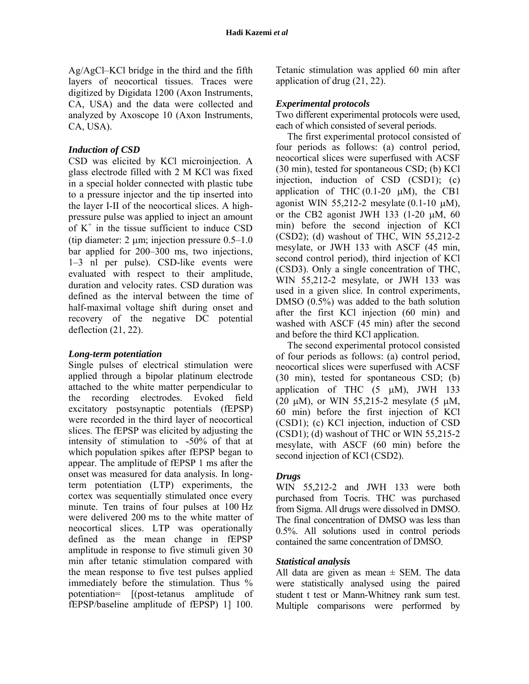Ag/AgCl–KCl bridge in the third and the fifth layers of neocortical tissues. Traces were digitized by Digidata 1200 (Axon Instruments, CA, USA) and the data were collected and analyzed by Axoscope 10 (Axon Instruments, CA, USA).

#### **Induction of CSD**

CSD was elicited by KCl microinjection. A glass electrode filled with 2 M KCl was fixed in a special holder connected with plastic tube to a pressure injector and the tip inserted into the layer I-II of the neocortical slices. A highpressure pulse was applied to inject an amount of  $K^+$  in the tissue sufficient to induce CSD (tip diameter: 2  $\mu$ m; injection pressure 0.5–1.0 bar applied for 200–300 ms, two injections, 1–3 nl per pulse). CSD-like events were evaluated with respect to their amplitude, duration and velocity rates. CSD duration was defined as the interval between the time of half-maximal voltage shift during onset and recovery of the negative DC potential deflection  $(21, 22)$ .

#### Long-term potentiation

Single pulses of electrical stimulation were applied through a bipolar platinum electrode attached to the white matter perpendicular to the recording electrodes. Evoked field excitatory postsynaptic potentials (fEPSP) were recorded in the third layer of neocortical slices. The fEPSP was elicited by adjusting the intensity of stimulation to ~50% of that at which population spikes after fEPSP began to appear. The amplitude of fEPSP 1 ms after the onset was measured for data analysis. In longterm potentiation (LTP) experiments, the cortex was sequentially stimulated once every minute. Ten trains of four pulses at 100 Hz were delivered 200 ms to the white matter of neocortical slices. LTP was operationally defined as the mean change in fEPSP amplitude in response to five stimuli given 30 min after tetanic stimulation compared with the mean response to five test pulses applied immediately before the stimulation. Thus % potentiation= [(post-tetanus amplitude of fEPSP/baseline amplitude of fEPSP) 1] 100.

Tetanic stimulation was applied 60 min after application of drug  $(21, 22)$ .

#### **Experimental protocols**

Two different experimental protocols were used, each of which consisted of several periods.

The first experimental protocol consisted of four periods as follows: (a) control period, neocortical slices were superfused with ACSF (30 min), tested for spontaneous CSD; (b) KCl injection, induction of CSD (CSD1); (c) application of THC  $(0.1-20 \mu M)$ , the CB1 agonist WIN 55,212-2 mesylate  $(0.1-10 \mu M)$ , or the CB2 agonist JWH 133 (1-20  $\mu$ M, 60 min) before the second injection of KCl  $(CSD2)$ ; (d) washout of THC, WIN 55,212-2 mesylate, or JWH 133 with ASCF (45 min, second control period), third injection of KCl (CSD3). Only a single concentration of THC, WIN 55,212-2 mesylate, or JWH 133 was used in a given slice. In control experiments, DMSO  $(0.5\%)$  was added to the bath solution after the first KCl injection (60 min) and washed with ASCF (45 min) after the second and before the third KCl application.

The second experimental protocol consisted of four periods as follows: (a) control period, neocortical slices were superfused with ACSF  $(30 \text{ min})$ , tested for spontaneous CSD; (b) application of THC  $(5 \mu M)$ , JWH 133 (20  $\mu$ M), or WIN 55,215-2 mesylate (5  $\mu$ M, 60 min) before the first injection of KCl (CSD1); (c) KCl injection, induction of CSD  $(CSD1)$ ; (d) washout of THC or WIN 55,215-2 mesylate, with ASCF (60 min) before the second injection of KCl (CSD2).

#### **Drugs**

WIN 55,212-2 and JWH 133 were both purchased from Tocris. THC was purchased from Sigma. All drugs were dissolved in DMSO. The final concentration of DMSO was less than  $0.5\%$ . All solutions used in control periods contained the same concentration of DMSO.

#### **Statistical analysis**

All data are given as mean  $\pm$  SEM. The data were statistically analysed using the paired student t test or Mann-Whitney rank sum test. Multiple comparisons were performed by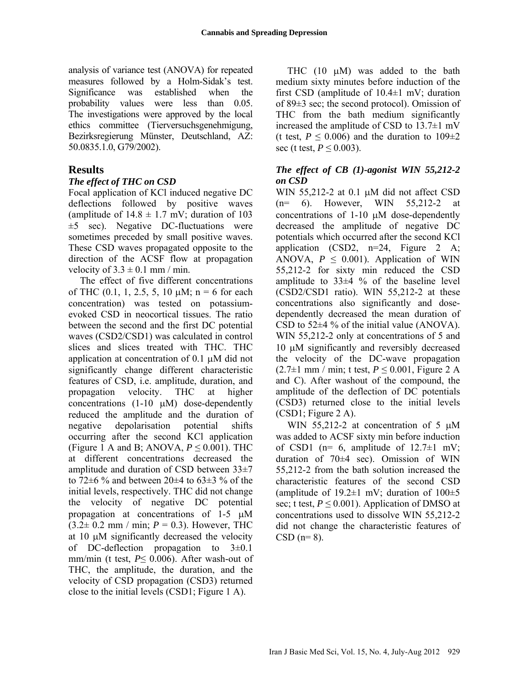analysis of variance test (ANOVA) for repeated measures followed by a Holm-Sidak's test. Significance was established when the probability values were less than 0.05. The investigations were approved by the local ethics committee (Tierversuchsgenehmigung, Bezirksregierung Münster, Deutschland, AZ: 50.0835.1.0, G79/2002).

# **Results**

### *The effect of THC on CSD*

Focal application of KCl induced negative DC deflections followed by positive waves (amplitude of  $14.8 \pm 1.7$  mV; duration of  $103$  $\pm$ 5 sec). Negative DC-fluctuations were sometimes preceded by small positive waves. These CSD waves propagated opposite to the direction of the ACSF flow at propagation velocity of  $3.3 \pm 0.1$  mm / min.

The effect of five different concentrations of THC  $(0.1, 1, 2.5, 5, 10 \mu M; n = 6$  for each concentration) was tested on potassiumevoked CSD in neocortical tissues. The ratio between the second and the first DC potential waves (CSD2/CSD1) was calculated in control slices and slices treated with THC. THC application at concentration of  $0.1 \mu M$  did not significantly change different characteristic features of CSD, i.e. amplitude, duration, and propagation velocity. THC at higher concentrations  $(1-10 \mu M)$  dose-dependently reduced the amplitude and the duration of negative depolarisation potential shifts occurring after the second KCl application (Figure 1 A and B; ANOVA,  $P \le 0.001$ ). THC at different concentrations decreased the amplitude and duration of CSD between 33±7 to 72 $\pm$ 6 % and between 20 $\pm$ 4 to 63 $\pm$ 3 % of the initial levels, respectively. THC did not change the velocity of negative DC potential propagation at concentrations of 1-5  $\mu$ M  $(3.2 \pm 0.2 \text{ mm} / \text{min}; P = 0.3)$ . However, THC at  $10 \mu$ M significantly decreased the velocity of DC-deflection propagation to  $3\pm0.1$ mm/min (t test, *P*≤ 0.006). After wash-out of THC, the amplitude, the duration, and the velocity of CSD propagation (CSD3) returned close to the initial levels (CSD1; Figure 1 A).

THC  $(10 \mu M)$  was added to the bath medium sixty minutes before induction of the first CSD (amplitude of  $10.4\pm1$  mV; duration of 89±3 sec; the second protocol). Omission of THC from the bath medium significantly increased the amplitude of CSD to  $13.7\pm1$  mV (t test,  $P \le 0.006$ ) and the duration to  $109\pm2$ sec (t test,  $P \le 0.003$ ).

### *The effect of CB (1)-agonist WIN 55,212-2 on CSD*

WIN 55,212-2 at 0.1  $\mu$ M did not affect CSD (n= 6). However, WIN 55,212-2 at concentrations of  $1-10 \mu M$  dose-dependently decreased the amplitude of negative DC potentials which occurred after the second KCl application  $(CSD2, n=24, Figure 2 A)$ ANOVA,  $P \leq 0.001$ ). Application of WIN 55,212-2 for sixty min reduced the CSD amplitude to  $33\pm4$  % of the baseline level (CSD2/CSD1 ratio). WIN 55,212-2 at these concentrations also significantly and dosedependently decreased the mean duration of CSD to  $52\pm4\%$  of the initial value (ANOVA). WIN 55,212-2 only at concentrations of 5 and 10  $\mu$ M significantly and reversibly decreased the velocity of the DC-wave propagation  $(2.7\pm1$  mm / min; t test,  $P \le 0.001$ , Figure 2 A and C). After washout of the compound, the amplitude of the deflection of DC potentials (CSD3) returned close to the initial levels (CSD1; Figure 2 A).

WIN 55,212-2 at concentration of 5  $\mu$ M was added to ACSF sixty min before induction of CSD1 ( $n= 6$ , amplitude of 12.7 $\pm$ 1 mV; duration of  $70\pm4$  sec). Omission of WIN 55,212-2 from the bath solution increased the characteristic features of the second CSD (amplitude of  $19.2\pm1$  mV; duration of  $100\pm5$ sec; t test,  $P \le 0.001$ ). Application of DMSO at concentrations used to dissolve WIN 55,212-2 did not change the characteristic features of  $CSD (n=8)$ .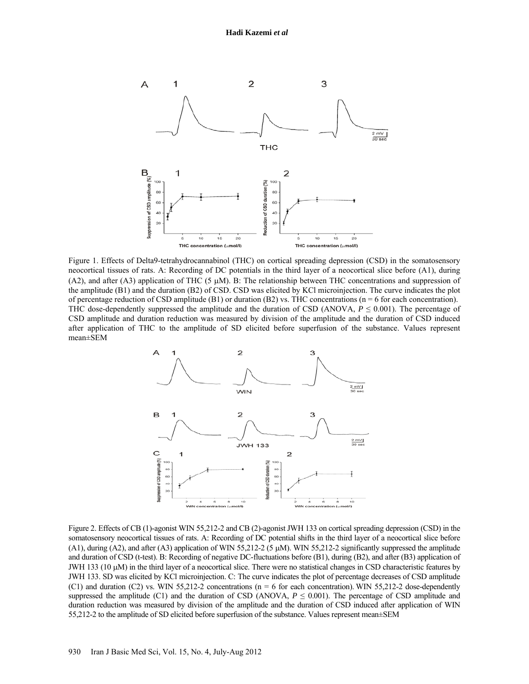

Figure 1. Effects of Delta9-tetrahydrocannabinol (THC) on cortical spreading depression (CSD) in the somatosensory neocortical tissues of rats. A: Recording of DC potentials in the third layer of a neocortical slice before (A1), during (A2), and after (A3) application of THC (5  $\mu$ M). B: The relationship between THC concentrations and suppression of the amplitude (B1) and the duration (B2) of CSD. CSD was elicited by KCl microinjection. The curve indicates the plot of percentage reduction of CSD amplitude (B1) or duration (B2) vs. THC concentrations ( $n = 6$  for each concentration). THC dose-dependently suppressed the amplitude and the duration of CSD (ANOVA,  $P \leq 0.001$ ). The percentage of CSD amplitude and duration reduction was measured by division of the amplitude and the duration of CSD induced after application of THC to the amplitude of SD elicited before superfusion of the substance. Values represent mean±SEM



Figure 2. Effects of CB (1)-agonist WIN 55,212-2 and CB (2)-agonist JWH 133 on cortical spreading depression (CSD) in the somatosensory neocortical tissues of rats. A: Recording of DC potential shifts in the third layer of a neocortical slice before (A1), during (A2), and after (A3) application of WIN 55,212-2 (5  $\mu$ M). WIN 55,212-2 significantly suppressed the amplitude and duration of CSD (t-test). B: Recording of negative DC-fluctuations before (B1), during (B2), and after (B3) application of JWH 133 (10  $\mu$ M) in the third layer of a neocortical slice. There were no statistical changes in CSD characteristic features by JWH 133. SD was elicited by KCl microinjection. C: The curve indicates the plot of percentage decreases of CSD amplitude (C1) and duration (C2) vs. WIN 55,212-2 concentrations ( $n = 6$  for each concentration). WIN 55,212-2 dose-dependently suppressed the amplitude (C1) and the duration of CSD (ANOVA,  $P \leq 0.001$ ). The percentage of CSD amplitude and duration reduction was measured by division of the amplitude and the duration of CSD induced after application of WIN 55,212-2 to the amplitude of SD elicited before superfusion of the substance. Values represent mean±SEM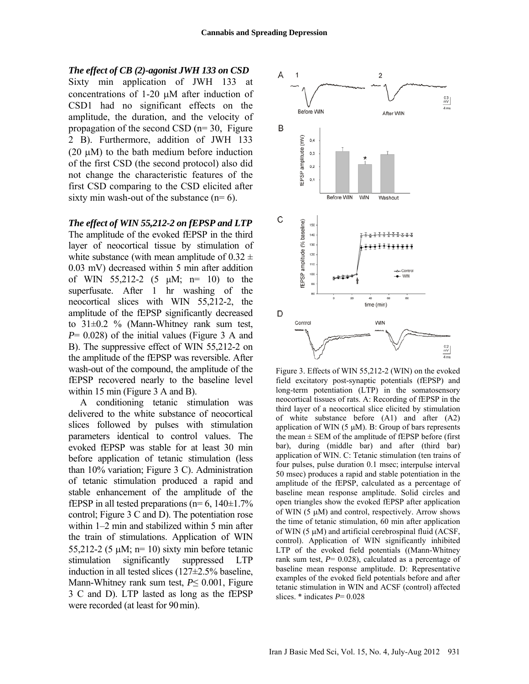*The effect of CB (2)-agonist JWH 133 on CSD* Sixty min application of JWH 133 at concentrations of  $1-20 \mu M$  after induction of

CSD1 had no significant effects on the amplitude, the duration, and the velocity of propagation of the second CSD (n= 30, Figure 2 B). Furthermore, addition of JWH 133 (20  $\mu$ M) to the bath medium before induction of the first CSD (the second protocol) also did not change the characteristic features of the first CSD comparing to the CSD elicited after sixty min wash-out of the substance  $(n=6)$ .

#### *The effect of WIN 55,212-2 on fEPSP and LTP*

The amplitude of the evoked fEPSP in the third layer of neocortical tissue by stimulation of white substance (with mean amplitude of  $0.32 \pm$ 0.03 mV) decreased within 5 min after addition of WIN 55,212-2 (5 μM; n= 10) to the superfusate. After 1 hr washing of the neocortical slices with WIN 55,212-2, the amplitude of the fEPSP significantly decreased to 31±0.2 % (Mann-Whitney rank sum test, *P*= 0.028) of the initial values (Figure 3 A and B). The suppressive effect of WIN 55,212-2 on the amplitude of the fEPSP was reversible. After wash-out of the compound, the amplitude of the fEPSP recovered nearly to the baseline level within 15 min (Figure 3 A and B).

A conditioning tetanic stimulation was delivered to the white substance of neocortical slices followed by pulses with stimulation parameters identical to control values. The evoked fEPSP was stable for at least 30 min before application of tetanic stimulation (less than 10% variation; Figure 3 C). Administration of tetanic stimulation produced a rapid and stable enhancement of the amplitude of the fEPSP in all tested preparations ( $n=6$ , 140 $\pm$ 1.7%) control; Figure 3 C and D). The potentiation rose within 1–2 min and stabilized within 5 min after the train of stimulations. Application of WIN 55,212-2 (5  $\mu$ M; n= 10) sixty min before tetanic stimulation significantly suppressed LTP induction in all tested slices (127±2.5% baseline, Mann-Whitney rank sum test, *P*≤ 0.001, Figure 3 C and D). LTP lasted as long as the fEPSP were recorded (at least for 90min).



Figure 3. Effects of WIN 55,212-2 (WIN) on the evoked field excitatory post-synaptic potentials (fEPSP) and long-term potentiation (LTP) in the somatosensory neocortical tissues of rats. A: Recording of fEPSP in the third layer of a neocortical slice elicited by stimulation of white substance before (A1) and after (A2) application of WIN  $(5 \mu M)$ . B: Group of bars represents the mean  $\pm$  SEM of the amplitude of fEPSP before (first bar), during (middle bar) and after (third bar) application of WIN. C: Tetanic stimulation (ten trains of four pulses, pulse duration 0.1 msec; interpulse interval 50 msec) produces a rapid and stable potentiation in the amplitude of the fEPSP, calculated as a percentage of baseline mean response amplitude. Solid circles and open triangles show the evoked fEPSP after application of WIN  $(5 \mu M)$  and control, respectively. Arrow shows the time of tetanic stimulation, 60 min after application of WIN  $(5 \mu M)$  and artificial cerebrospinal fluid (ACSF, control). Application of WIN significantly inhibited LTP of the evoked field potentials ((Mann-Whitney rank sum test, *P*= 0.028), calculated as a percentage of baseline mean response amplitude. D: Representative examples of the evoked field potentials before and after tetanic stimulation in WIN and ACSF (control) affected slices. \* indicates *P*= 0.028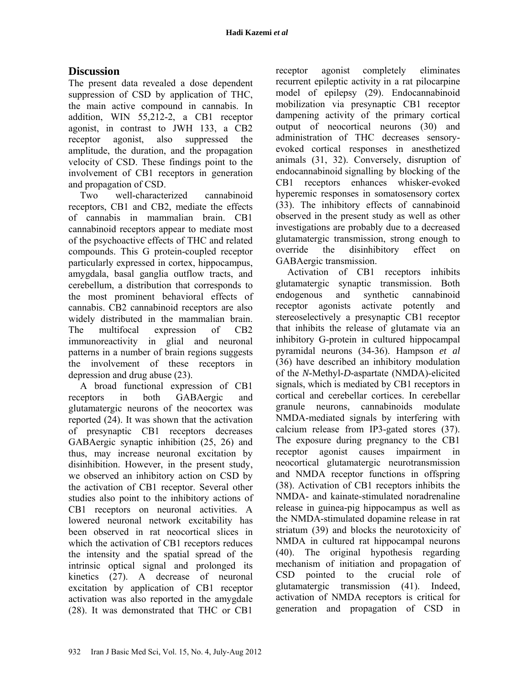# **Discussion**

The present data revealed a dose dependent suppression of CSD by application of THC, the main active compound in cannabis. In addition, WIN 55,212-2, a CB1 receptor agonist, in contrast to JWH 133, a CB2 receptor agonist, also suppressed the amplitude, the duration, and the propagation velocity of CSD. These findings point to the involvement of CB1 receptors in generation and propagation of CSD.

Two well-characterized cannabinoid receptors, CB1 and CB2, mediate the effects of cannabis in mammalian brain. CB1 cannabinoid receptors appear to mediate most of the psychoactive effects of THC and related compounds. This G protein-coupled receptor particularly expressed in cortex, hippocampus, amygdala, basal ganglia outflow tracts, and cerebellum, a distribution that corresponds to the most prominent behavioral effects of cannabis. CB2 cannabinoid receptors are also widely distributed in the mammalian brain. The multifocal expression of CB2 immunoreactivity in glial and neuronal patterns in a number of brain regions suggests the involvement of these receptors in depression and drug abuse (23).

A broad functional expression of CB1 receptors in both GABAergic and glutamatergic neurons of the neocortex was reported (24). It was shown that the activation of presynaptic CB1 receptors decreases GABAergic synaptic inhibition (25, 26) and thus, may increase neuronal excitation by disinhibition. However, in the present study, we observed an inhibitory action on CSD by the activation of CB1 receptor. Several other studies also point to the inhibitory actions of CB1 receptors on neuronal activities. A lowered neuronal network excitability has been observed in rat neocortical slices in which the activation of CB1 receptors reduces the intensity and the spatial spread of the intrinsic optical signal and prolonged its kinetics (27). A decrease of neuronal excitation by application of CB1 receptor activation was also reported in the amygdale (28). It was demonstrated that THC or CB1

receptor agonist completely eliminates recurrent epileptic activity in a rat pilocarpine model of epilepsy (29). Endocannabinoid mobilization via presynaptic CB1 receptor dampening activity of the primary cortical output of neocortical neurons (30) and administration of THC decreases sensoryevoked cortical responses in anesthetized animals (31, 32). Conversely, disruption of endocannabinoid signalling by blocking of the CB1 receptors enhances whisker-evoked hyperemic responses in somatosensory cortex (33). The inhibitory effects of cannabinoid observed in the present study as well as other investigations are probably due to a decreased glutamatergic transmission, strong enough to override the disinhibitory effect on GABAergic transmission.

Activation of CB1 receptors inhibits glutamatergic synaptic transmission. Both endogenous and synthetic cannabinoid receptor agonists activate potently and stereoselectively a presynaptic CB1 receptor that inhibits the release of glutamate via an inhibitory G-protein in cultured hippocampal pyramidal neurons (34-36). Hampson *et al* (36) have described an inhibitory modulation of the *N-*Methyl*-D-*aspartate (NMDA)-elicited signals, which is mediated by CB1 receptors in cortical and cerebellar cortices. In cerebellar granule neurons, cannabinoids modulate NMDA-mediated signals by interfering with calcium release from IP3-gated stores (37). The exposure during pregnancy to the CB1 receptor agonist causes impairment in neocortical glutamatergic neurotransmission and NMDA receptor functions in offspring (38). Activation of CB1 receptors inhibits the NMDA- and kainate-stimulated noradrenaline release in guinea-pig hippocampus as well as the NMDA-stimulated dopamine release in rat striatum (39) and blocks the neurotoxicity of NMDA in cultured rat hippocampal neurons (40). The original hypothesis regarding mechanism of initiation and propagation of CSD pointed to the crucial role of glutamatergic transmission (41). Indeed, activation of NMDA receptors is critical for generation and propagation of CSD in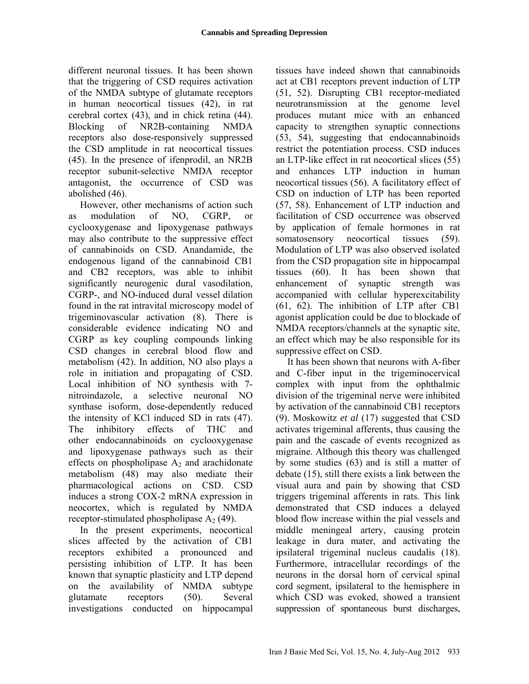different neuronal tissues. It has been shown that the triggering of CSD requires activation of the NMDA subtype of glutamate receptors in human neocortical tissues (42), in rat cerebral cortex (43), and in chick retina (44). Blocking of NR2B-containing NMDA receptors also dose-responsively suppressed the CSD amplitude in rat neocortical tissues (45). In the presence of ifenprodil, an NR2B receptor subunit-selective NMDA receptor antagonist, the occurrence of CSD was abolished (46).

However, other mechanisms of action such as modulation of NO, CGRP, or cyclooxygenase and lipoxygenase pathways may also contribute to the suppressive effect of cannabinoids on CSD. Anandamide, the endogenous ligand of the cannabinoid CB1 and CB2 receptors, was able to inhibit significantly neurogenic dural vasodilation, CGRP-, and NO-induced dural vessel dilation found in the rat intravital microscopy model of trigeminovascular activation (8). There is considerable evidence indicating NO and CGRP as key coupling compounds linking CSD changes in cerebral blood flow and metabolism (42). In addition, NO also plays a role in initiation and propagating of CSD. Local inhibition of NO synthesis with 7 nitroindazole, a selective neuronal NO synthase isoform, dose-dependently reduced the intensity of KCl induced SD in rats (47). The inhibitory effects of THC and other endocannabinoids on cyclooxygenase and lipoxygenase pathways such as their effects on phospholipase  $A_2$  and arachidonate metabolism (48) may also mediate their pharmacological actions on CSD. CSD induces a strong COX-2 mRNA expression in neocortex, which is regulated by NMDA receptor-stimulated phospholipase  $A_2$  (49).

In the present experiments, neocortical slices affected by the activation of CB1 receptors exhibited a pronounced and persisting inhibition of LTP. It has been known that synaptic plasticity and LTP depend on the availability of NMDA subtype glutamate receptors (50). Several investigations conducted on hippocampal tissues have indeed shown that cannabinoids act at CB1 receptors prevent induction of LTP (51, 52). Disrupting CB1 receptor-mediated neurotransmission at the genome level produces mutant mice with an enhanced capacity to strengthen synaptic connections (53, 54), suggesting that endocannabinoids restrict the potentiation process. CSD induces an LTP-like effect in rat neocortical slices (55) and enhances LTP induction in human neocortical tissues (56). A facilitatory effect of CSD on induction of LTP has been reported (57, 58). Enhancement of LTP induction and facilitation of CSD occurrence was observed by application of female hormones in rat somatosensory neocortical tissues (59). Modulation of LTP was also observed isolated from the CSD propagation site in hippocampal tissues (60). It has been shown that enhancement of synaptic strength was accompanied with cellular hyperexcitability (61, 62). The inhibition of LTP after CB1 agonist application could be due to blockade of NMDA receptors/channels at the synaptic site, an effect which may be also responsible for its suppressive effect on CSD.

It has been shown that neurons with A-fiber and C-fiber input in the trigeminocervical complex with input from the ophthalmic division of the trigeminal nerve were inhibited by activation of the cannabinoid CB1 receptors (9). Moskowitz *et al* (17) suggested that CSD activates trigeminal afferents, thus causing the pain and the cascade of events recognized as migraine. Although this theory was challenged by some studies (63) and is still a matter of debate (15), still there exists a link between the visual aura and pain by showing that CSD triggers trigeminal afferents in rats. This link demonstrated that CSD induces a delayed blood flow increase within the pial vessels and middle meningeal artery, causing protein leakage in dura mater, and activating the ipsilateral trigeminal nucleus caudalis (18). Furthermore, intracellular recordings of the neurons in the dorsal horn of cervical spinal cord segment, ipsilateral to the hemisphere in which CSD was evoked, showed a transient suppression of spontaneous burst discharges,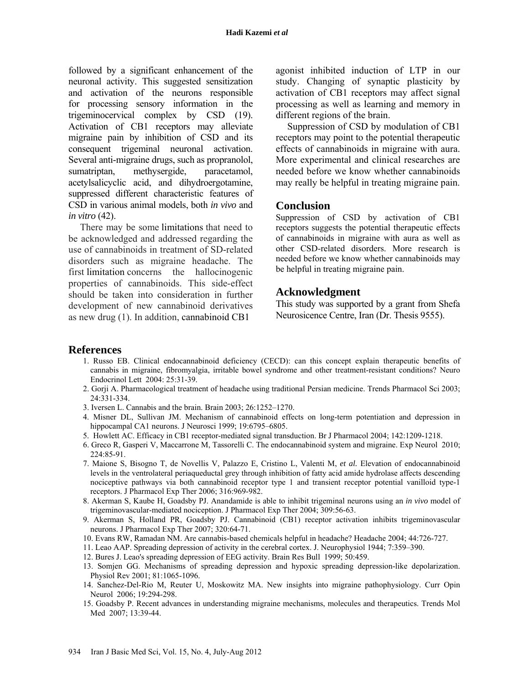followed by a significant enhancement of the neuronal activity. This suggested sensitization and activation of the neurons responsible for processing sensory information in the trigeminocervical complex by CSD (19). Activation of CB1 receptors may alleviate migraine pain by inhibition of CSD and its consequent trigeminal neuronal activation. Several anti-migraine drugs, such as propranolol, sumatriptan, methysergide, paracetamol, acetylsalicyclic acid, and dihydroergotamine, suppressed different characteristic features of CSD in various animal models, both *in vivo* and *in vitro* (42).

There may be some limitations that need to be acknowledged and addressed regarding the use of cannabinoids in treatment of SD-related disorders such as migraine headache. The first limitation concerns the hallocinogenic properties of cannabinoids. This side-effect should be taken into consideration in further development of new cannabinoid derivatives as new drug (1). In addition, cannabinoid CB1

agonist inhibited induction of LTP in our study. Changing of synaptic plasticity by activation of CB1 receptors may affect signal processing as well as learning and memory in different regions of the brain.

Suppression of CSD by modulation of CB1 receptors may point to the potential therapeutic effects of cannabinoids in migraine with aura. More experimental and clinical researches are needed before we know whether cannabinoids may really be helpful in treating migraine pain.

### **Conclusion**

Suppression of CSD by activation of CB1 receptors suggests the potential therapeutic effects of cannabinoids in migraine with aura as well as other CSD-related disorders. More research is needed before we know whether cannabinoids may be helpful in treating migraine pain.

### **Acknowledgment**

This study was supported by a grant from Shefa Neurosicence Centre, Iran (Dr. Thesis 9555).

### **References**

- 1. Russo EB. Clinical endocannabinoid deficiency (CECD): can this concept explain therapeutic benefits of cannabis in migraine, fibromyalgia, irritable bowel syndrome and other treatment-resistant conditions? Neuro Endocrinol Lett 2004: 25:31-39.
- 2. Gorji A. Pharmacological treatment of headache using traditional Persian medicine. Trends Pharmacol Sci 2003; 24:331-334.
- 3. Iversen L. Cannabis and the brain. Brain 2003; 26:1252–1270.
- 4. Misner DL, Sullivan JM. Mechanism of cannabinoid effects on long-term potentiation and depression in hippocampal CA1 neurons. J Neurosci 1999; 19:6795–6805.
- 5. Howlett AC. Efficacy in CB1 receptor-mediated signal transduction. Br J Pharmacol 2004; 142:1209-1218.
- 6. Greco R, Gasperi V, Maccarrone M, Tassorelli C. The endocannabinoid system and migraine. Exp Neurol 2010; 224:85-91.
- 7. Maione S, Bisogno T, de Novellis V, Palazzo E, Cristino L, Valenti M, *et al.* Elevation of endocannabinoid levels in the ventrolateral periaqueductal grey through inhibition of fatty acid amide hydrolase affects descending nociceptive pathways via both cannabinoid receptor type 1 and transient receptor potential vanilloid type-1 receptors. J Pharmacol Exp Ther 2006; 316:969-982.
- 8. Akerman S, Kaube H, Goadsby PJ. Anandamide is able to inhibit trigeminal neurons using an *in vivo* model of trigeminovascular-mediated nociception. J Pharmacol Exp Ther 2004; 309:56-63.
- 9. Akerman S, Holland PR, Goadsby PJ. Cannabinoid (CB1) receptor activation inhibits trigeminovascular neurons. J Pharmacol Exp Ther 2007; 320:64-71.
- 10. Evans RW, Ramadan NM. Are cannabis-based chemicals helpful in headache? Headache 2004; 44:726-727.
- 11. Leao AAP. Spreading depression of activity in the cerebral cortex. J. Neurophysiol 1944; 7:359–390.
- 12. Bures J. Leao's spreading depression of EEG activity. Brain Res Bull 1999; 50:459.
- 13. Somjen GG. Mechanisms of spreading depression and hypoxic spreading depression-like depolarization. Physiol Rev 2001; 81:1065-1096.
- 14. Sanchez-Del-Rio M, Reuter U, Moskowitz MA. New insights into migraine pathophysiology. Curr Opin Neurol 2006; 19:294-298.
- 15. Goadsby P. Recent advances in understanding migraine mechanisms, molecules and therapeutics. Trends Mol Med 2007; 13:39-44.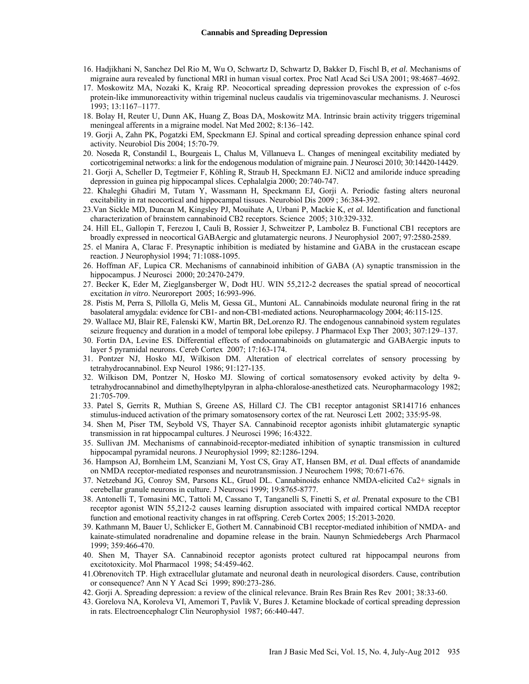- 16. Hadjikhani N, Sanchez Del Rio M, Wu O, Schwartz D, Schwartz D, Bakker D, Fischl B, *et al.* Mechanisms of migraine aura revealed by functional MRI in human visual cortex. Proc Natl Acad Sci USA 2001; 98:4687–4692.
- 17. Moskowitz MA, Nozaki K, Kraig RP. Neocortical spreading depression provokes the expression of c-fos protein-like immunoreactivity within trigeminal nucleus caudalis via trigeminovascular mechanisms. J. Neurosci 1993; 13:1167–1177.
- 18. Bolay H, Reuter U, Dunn AK, Huang Z, Boas DA, Moskowitz MA. Intrinsic brain activity triggers trigeminal meningeal afferents in a migraine model. Nat Med 2002; 8:136–142.
- 19. Gorji A, Zahn PK, Pogatzki EM, Speckmann EJ. Spinal and cortical spreading depression enhance spinal cord activity. Neurobiol Dis 2004; 15:70-79.
- 20. Noseda R, Constandil L, Bourgeais L, Chalus M, Villanueva L. Changes of meningeal excitability mediated by corticotrigeminal networks: a link for the endogenous modulation of migraine pain. J Neurosci 2010; 30:14420-14429.
- 21. Gorji A, Scheller D, Tegtmeier F, Köhling R, Straub H, Speckmann EJ. NiCl2 and amiloride induce spreading depression in guinea pig hippocampal slices. Cephalalgia 2000; 20:740-747.
- 22. Khaleghi Ghadiri M, Tutam Y, Wassmann H, Speckmann EJ, Gorji A. Periodic fasting alters neuronal excitability in rat neocortical and hippocampal tissues. Neurobiol Dis 2009 ; 36:384-392.
- 23.Van Sickle MD, Duncan M, Kingsley PJ, Mouihate A, Urbani P, Mackie K, *et al.* Identification and functional characterization of brainstem cannabinoid CB2 receptors. Science 2005; 310:329-332.
- 24. Hill EL, Gallopin T, Ferezou I, Cauli B, Rossier J, Schweitzer P, Lambolez B. Functional CB1 receptors are broadly expressed in neocortical GABAergic and glutamatergic neurons. J Neurophysiol 2007; 97:2580-2589.
- 25. el Manira A, Clarac F. Presynaptic inhibition is mediated by histamine and GABA in the crustacean escape reaction. J Neurophysiol 1994; 71:1088-1095.
- 26. Hoffman AF, Lupica CR. Mechanisms of cannabinoid inhibition of GABA (A) synaptic transmission in the hippocampus. J Neurosci 2000; 20:2470-2479.
- 27. Becker K, Eder M, Zieglgansberger W, Dodt HU. WIN 55,212-2 decreases the spatial spread of neocortical excitation *in vitro*. Neuroreport 2005; 16:993-996.
- 28. Pistis M, Perra S, Pillolla G, Melis M, Gessa GL, Muntoni AL. Cannabinoids modulate neuronal firing in the rat basolateral amygdala: evidence for CB1- and non-CB1-mediated actions. Neuropharmacology 2004; 46:115-125.
- 29. Wallace MJ, Blair RE, Falenski KW, Martin BR, DeLorenzo RJ. The endogenous cannabinoid system regulates seizure frequency and duration in a model of temporal lobe epilepsy. J Pharmacol Exp Ther 2003; 307:129–137.
- 30. Fortin DA, Levine ES. Differential effects of endocannabinoids on glutamatergic and GABAergic inputs to layer 5 pyramidal neurons. Cereb Cortex 2007; 17:163-174.
- 31. Pontzer NJ, Hosko MJ, Wilkison DM. Alteration of electrical correlates of sensory processing by tetrahydrocannabinol. Exp Neurol 1986; 91:127-135.
- 32. Wilkison DM, Pontzer N, Hosko MJ. Slowing of cortical somatosensory evoked activity by delta 9 tetrahydrocannabinol and dimethylheptylpyran in alpha-chloralose-anesthetized cats. Neuropharmacology 1982; 21:705-709.
- 33. Patel S, Gerrits R, Muthian S, Greene AS, Hillard CJ. The CB1 receptor antagonist SR141716 enhances stimulus-induced activation of the primary somatosensory cortex of the rat. Neurosci Lett 2002; 335:95-98.
- 34. Shen M, Piser TM, Seybold VS, Thayer SA. Cannabinoid receptor agonists inhibit glutamatergic synaptic transmission in rat hippocampal cultures. J Neurosci 1996; 16:4322.
- 35. Sullivan JM. Mechanisms of cannabinoid-receptor-mediated inhibition of synaptic transmission in cultured hippocampal pyramidal neurons. J Neurophysiol 1999; 82:1286-1294.
- 36. Hampson AJ, Bornheim LM, Scanziani M, Yost CS, Gray AT, Hansen BM, *et a*l. Dual effects of anandamide on NMDA receptor-mediated responses and neurotransmission. J Neurochem 1998; 70:671-676.
- 37. Netzeband JG, Conroy SM, Parsons KL, Gruol DL. Cannabinoids enhance NMDA-elicited Ca2+ signals in cerebellar granule neurons in culture. J Neurosci 1999; 19:8765-8777.
- 38. Antonelli T, Tomasini MC, Tattoli M, Cassano T, Tanganelli S, Finetti S, *et al.* Prenatal exposure to the CB1 receptor agonist WIN 55,212-2 causes learning disruption associated with impaired cortical NMDA receptor function and emotional reactivity changes in rat offspring. Cereb Cortex 2005; 15:2013-2020.
- 39. Kathmann M, Bauer U, Schlicker E, Gothert M. Cannabinoid CB1 receptor-mediated inhibition of NMDA- and kainate-stimulated noradrenaline and dopamine release in the brain. Naunyn Schmiedebergs Arch Pharmacol 1999; 359:466-470.
- 40. Shen M, Thayer SA. Cannabinoid receptor agonists protect cultured rat hippocampal neurons from excitotoxicity. Mol Pharmacol 1998; 54:459-462.
- 41.Obrenovitch TP. High extracellular glutamate and neuronal death in neurological disorders. Cause, contribution or consequence? Ann N Y Acad Sci 1999; 890:273-286.
- 42. Gorji A. Spreading depression: a review of the clinical relevance. Brain Res Brain Res Rev 2001; 38:33-60.
- 43. Gorelova NA, Koroleva VI, Amemori T, Pavlik V, Bures J. Ketamine blockade of cortical spreading depression in rats. Electroencephalogr Clin Neurophysiol 1987; 66:440-447.